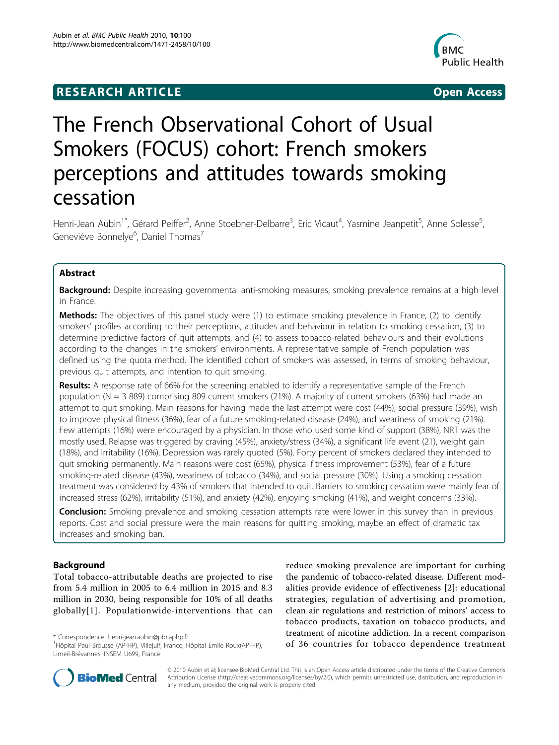# **RESEARCH ARTICLE Example 2008 CONSIDERING ACCESS**



# The French Observational Cohort of Usual Smokers (FOCUS) cohort: French smokers perceptions and attitudes towards smoking cessation

Henri-Jean Aubin<sup>1\*</sup>, Gérard Peiffer<sup>2</sup>, Anne Stoebner-Delbarre<sup>3</sup>, Eric Vicaut<sup>4</sup>, Yasmine Jeanpetit<sup>5</sup>, Anne Solesse<sup>5</sup> , Geneviève Bonnelye<sup>6</sup>, Daniel Thomas<sup>7</sup>

# Abstract

Background: Despite increasing governmental anti-smoking measures, smoking prevalence remains at a high level in France.

**Methods:** The objectives of this panel study were (1) to estimate smoking prevalence in France, (2) to identify smokers' profiles according to their perceptions, attitudes and behaviour in relation to smoking cessation, (3) to determine predictive factors of quit attempts, and (4) to assess tobacco-related behaviours and their evolutions according to the changes in the smokers' environments. A representative sample of French population was defined using the quota method. The identified cohort of smokers was assessed, in terms of smoking behaviour, previous quit attempts, and intention to quit smoking.

Results: A response rate of 66% for the screening enabled to identify a representative sample of the French population (N = 3 889) comprising 809 current smokers (21%). A majority of current smokers (63%) had made an attempt to quit smoking. Main reasons for having made the last attempt were cost (44%), social pressure (39%), wish to improve physical fitness (36%), fear of a future smoking-related disease (24%), and weariness of smoking (21%). Few attempts (16%) were encouraged by a physician. In those who used some kind of support (38%), NRT was the mostly used. Relapse was triggered by craving (45%), anxiety/stress (34%), a significant life event (21), weight gain (18%), and irritability (16%). Depression was rarely quoted (5%). Forty percent of smokers declared they intended to quit smoking permanently. Main reasons were cost (65%), physical fitness improvement (53%), fear of a future smoking-related disease (43%), weariness of tobacco (34%), and social pressure (30%). Using a smoking cessation treatment was considered by 43% of smokers that intended to quit. Barriers to smoking cessation were mainly fear of increased stress (62%), irritability (51%), and anxiety (42%), enjoying smoking (41%), and weight concerns (33%).

**Conclusion:** Smoking prevalence and smoking cessation attempts rate were lower in this survey than in previous reports. Cost and social pressure were the main reasons for quitting smoking, maybe an effect of dramatic tax increases and smoking ban.

# Background

Total tobacco-attributable deaths are projected to rise from 5.4 million in 2005 to 6.4 million in 2015 and 8.3 million in 2030, being responsible for 10% of all deaths globally[\[1\]](#page-6-0). Populationwide-interventions that can

reduce smoking prevalence are important for curbing the pandemic of tobacco-related disease. Different modalities provide evidence of effectiveness [[2\]](#page-6-0): educational strategies, regulation of advertising and promotion, clean air regulations and restriction of minors' access to tobacco products, taxation on tobacco products, and treatment of nicotine addiction. In a recent comparison Correspondence: [henri-jean.aubin@pbr.aphp.fr](mailto:henri-jean.aubin@pbr.aphp.fr)<br>
<sup>1</sup>Hôpital Paul Brousse (AP-HP), Villejuif, France, Hôpital Emile Roux(AP-HP), **of 36 countries for tobacco dependence treatment** 



© 2010 Aubin et al; licensee BioMed Central Ltd. This is an Open Access article distributed under the terms of the Creative Commons Attribution License [\(http://creativecommons.org/licenses/by/2.0](http://creativecommons.org/licenses/by/2.0)), which permits unrestricted use, distribution, and reproduction in any medium, provided the original work is properly cited.

<sup>&</sup>lt;sup>1</sup>Hôpital Paul Brousse (AP-HP), Villejuif, France, Hôpital Emile Roux(AP-HP), Limeil-Brévannes, INSEM U699, France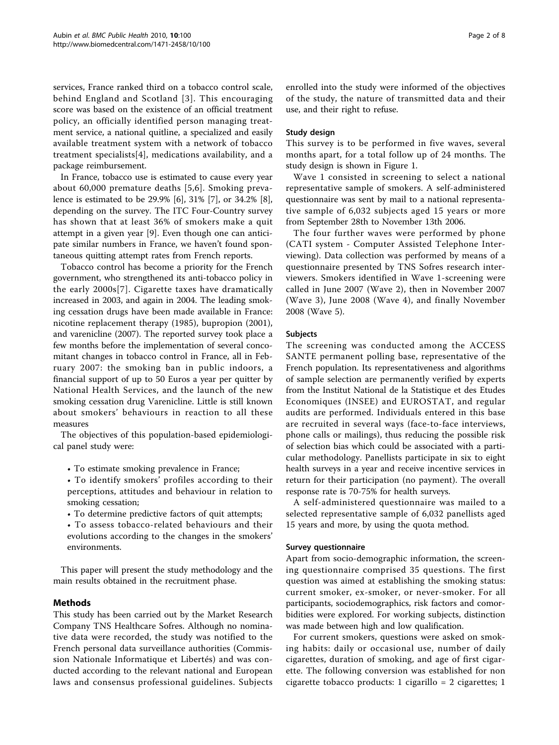services, France ranked third on a tobacco control scale, behind England and Scotland [[3\]](#page-6-0). This encouraging score was based on the existence of an official treatment policy, an officially identified person managing treatment service, a national quitline, a specialized and easily available treatment system with a network of tobacco treatment specialists[\[4\]](#page-6-0), medications availability, and a package reimbursement.

In France, tobacco use is estimated to cause every year about 60,000 premature deaths [[5,6\]](#page-6-0). Smoking prevalence is estimated to be 29.9% [[6\]](#page-6-0), 31% [[7](#page-6-0)], or 34.2% [\[8](#page-6-0)], depending on the survey. The ITC Four-Country survey has shown that at least 36% of smokers make a quit attempt in a given year [\[9](#page-6-0)]. Even though one can anticipate similar numbers in France, we haven't found spontaneous quitting attempt rates from French reports.

Tobacco control has become a priority for the French government, who strengthened its anti-tobacco policy in the early 2000s[[7](#page-6-0)]. Cigarette taxes have dramatically increased in 2003, and again in 2004. The leading smoking cessation drugs have been made available in France: nicotine replacement therapy (1985), bupropion (2001), and varenicline (2007). The reported survey took place a few months before the implementation of several concomitant changes in tobacco control in France, all in February 2007: the smoking ban in public indoors, a financial support of up to 50 Euros a year per quitter by National Health Services, and the launch of the new smoking cessation drug Varenicline. Little is still known about smokers' behaviours in reaction to all these measures

The objectives of this population-based epidemiological panel study were:

- To estimate smoking prevalence in France;
- To identify smokers' profiles according to their perceptions, attitudes and behaviour in relation to smoking cessation;
- To determine predictive factors of quit attempts;
- To assess tobacco-related behaviours and their evolutions according to the changes in the smokers' environments.

This paper will present the study methodology and the main results obtained in the recruitment phase.

# Methods

This study has been carried out by the Market Research Company TNS Healthcare Sofres. Although no nominative data were recorded, the study was notified to the French personal data surveillance authorities (Commission Nationale Informatique et Libertés) and was conducted according to the relevant national and European laws and consensus professional guidelines. Subjects enrolled into the study were informed of the objectives of the study, the nature of transmitted data and their use, and their right to refuse.

## Study design

This survey is to be performed in five waves, several months apart, for a total follow up of 24 months. The study design is shown in Figure [1](#page-2-0).

Wave 1 consisted in screening to select a national representative sample of smokers. A self-administered questionnaire was sent by mail to a national representative sample of 6,032 subjects aged 15 years or more from September 28th to November 13th 2006.

The four further waves were performed by phone (CATI system - Computer Assisted Telephone Interviewing). Data collection was performed by means of a questionnaire presented by TNS Sofres research interviewers. Smokers identified in Wave 1-screening were called in June 2007 (Wave 2), then in November 2007 (Wave 3), June 2008 (Wave 4), and finally November 2008 (Wave 5).

## Subjects

The screening was conducted among the ACCESS SANTE permanent polling base, representative of the French population. Its representativeness and algorithms of sample selection are permanently verified by experts from the Institut National de la Statistique et des Etudes Economiques (INSEE) and EUROSTAT, and regular audits are performed. Individuals entered in this base are recruited in several ways (face-to-face interviews, phone calls or mailings), thus reducing the possible risk of selection bias which could be associated with a particular methodology. Panellists participate in six to eight health surveys in a year and receive incentive services in return for their participation (no payment). The overall response rate is 70-75% for health surveys.

A self-administered questionnaire was mailed to a selected representative sample of 6,032 panellists aged 15 years and more, by using the quota method.

## Survey questionnaire

Apart from socio-demographic information, the screening questionnaire comprised 35 questions. The first question was aimed at establishing the smoking status: current smoker, ex-smoker, or never-smoker. For all participants, sociodemographics, risk factors and comorbidities were explored. For working subjects, distinction was made between high and low qualification.

For current smokers, questions were asked on smoking habits: daily or occasional use, number of daily cigarettes, duration of smoking, and age of first cigarette. The following conversion was established for non cigarette tobacco products: 1 cigarillo = 2 cigarettes; 1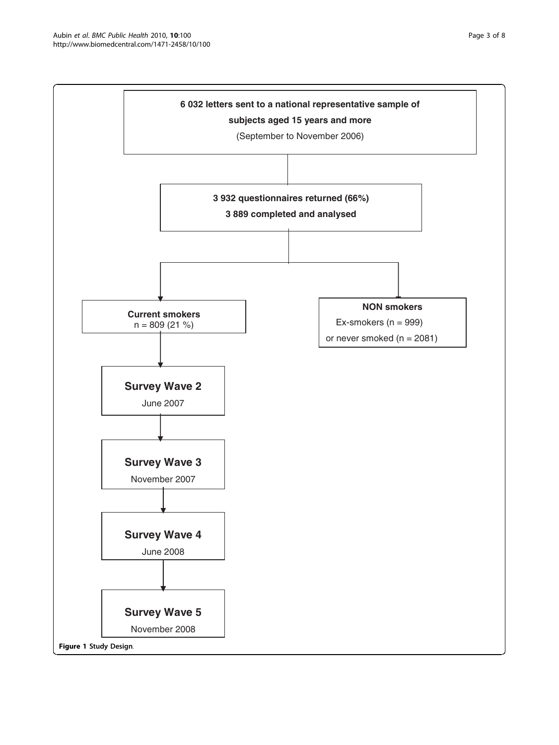<span id="page-2-0"></span>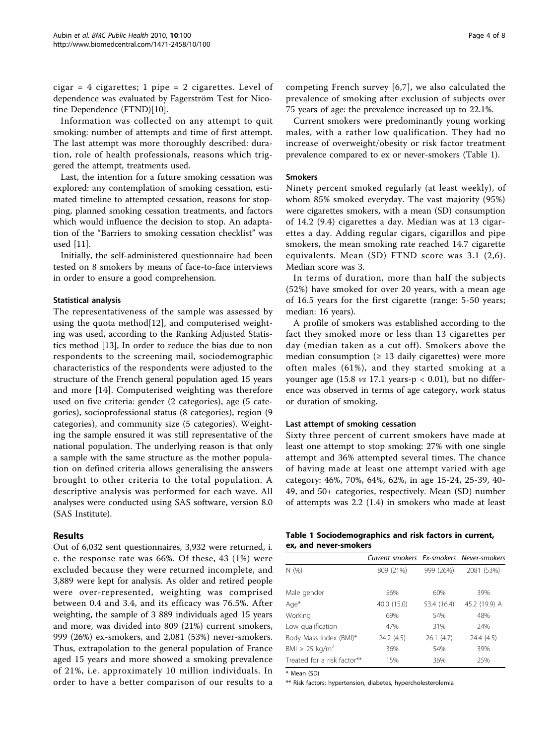cigar = 4 cigarettes; 1 pipe = 2 cigarettes. Level of dependence was evaluated by Fagerström Test for Nicotine Dependence (FTND)[\[10](#page-6-0)].

Information was collected on any attempt to quit smoking: number of attempts and time of first attempt. The last attempt was more thoroughly described: duration, role of health professionals, reasons which triggered the attempt, treatments used.

Last, the intention for a future smoking cessation was explored: any contemplation of smoking cessation, estimated timeline to attempted cessation, reasons for stopping, planned smoking cessation treatments, and factors which would influence the decision to stop. An adaptation of the "Barriers to smoking cessation checklist" was used [[11](#page-6-0)].

Initially, the self-administered questionnaire had been tested on 8 smokers by means of face-to-face interviews in order to ensure a good comprehension.

## Statistical analysis

The representativeness of the sample was assessed by using the quota method[[12](#page-6-0)], and computerised weighting was used, according to the Ranking Adjusted Statistics method [[13](#page-6-0)], In order to reduce the bias due to non respondents to the screening mail, sociodemographic characteristics of the respondents were adjusted to the structure of the French general population aged 15 years and more [[14](#page-6-0)]. Computerised weighting was therefore used on five criteria: gender (2 categories), age (5 categories), socioprofessional status (8 categories), region (9 categories), and community size (5 categories). Weighting the sample ensured it was still representative of the national population. The underlying reason is that only a sample with the same structure as the mother population on defined criteria allows generalising the answers brought to other criteria to the total population. A descriptive analysis was performed for each wave. All analyses were conducted using SAS software, version 8.0 (SAS Institute).

## Results

Out of 6,032 sent questionnaires, 3,932 were returned, i. e. the response rate was 66%. Of these, 43 (1%) were excluded because they were returned incomplete, and 3,889 were kept for analysis. As older and retired people were over-represented, weighting was comprised between 0.4 and 3.4, and its efficacy was 76.5%. After weighting, the sample of 3 889 individuals aged 15 years and more, was divided into 809 (21%) current smokers, 999 (26%) ex-smokers, and 2,081 (53%) never-smokers. Thus, extrapolation to the general population of France aged 15 years and more showed a smoking prevalence of 21%, i.e. approximately 10 million individuals. In order to have a better comparison of our results to a competing French survey [[6](#page-6-0),[7\]](#page-6-0), we also calculated the prevalence of smoking after exclusion of subjects over 75 years of age: the prevalence increased up to 22.1%.

Current smokers were predominantly young working males, with a rather low qualification. They had no increase of overweight/obesity or risk factor treatment prevalence compared to ex or never-smokers (Table 1).

## Smokers

Ninety percent smoked regularly (at least weekly), of whom 85% smoked everyday. The vast majority (95%) were cigarettes smokers, with a mean (SD) consumption of 14.2 (9.4) cigarettes a day. Median was at 13 cigarettes a day. Adding regular cigars, cigarillos and pipe smokers, the mean smoking rate reached 14.7 cigarette equivalents. Mean (SD) FTND score was 3.1 (2,6). Median score was 3.

In terms of duration, more than half the subjects (52%) have smoked for over 20 years, with a mean age of 16.5 years for the first cigarette (range: 5-50 years; median: 16 years).

A profile of smokers was established according to the fact they smoked more or less than 13 cigarettes per day (median taken as a cut off). Smokers above the median consumption ( $\geq$  13 daily cigarettes) were more often males (61%), and they started smoking at a younger age (15.8  $vs$  17.1 years-p < 0.01), but no difference was observed in terms of age category, work status or duration of smoking.

## Last attempt of smoking cessation

Sixty three percent of current smokers have made at least one attempt to stop smoking: 27% with one single attempt and 36% attempted several times. The chance of having made at least one attempt varied with age category: 46%, 70%, 64%, 62%, in age 15-24, 25-39, 40- 49, and 50+ categories, respectively. Mean (SD) number of attempts was 2.2 (1.4) in smokers who made at least

| Table 1 Sociodemographics and risk factors in current, |  |  |
|--------------------------------------------------------|--|--|
| ex, and never-smokers                                  |  |  |

|                                 | Current smokers Ex-smokers Never-smokers |             |               |
|---------------------------------|------------------------------------------|-------------|---------------|
| N(%)                            | 809 (21%)                                | 999 (26%)   | 2081 (53%)    |
|                                 |                                          |             |               |
| Male gender                     | 56%                                      | 60%         | 39%           |
| Age*                            | 40.0 (15.0)                              | 53.4 (16.4) | 45.2 (19.9) A |
| Working                         | 69%                                      | 54%         | 48%           |
| Low qualification               | 47%                                      | 31%         | 24%           |
| Body Mass Index (BMI)*          | 24.2 (4.5)                               | 26.1(4.7)   | 24.4 (4.5)    |
| BMI $\geq$ 25 kg/m <sup>2</sup> | 36%                                      | 54%         | 39%           |
| Treated for a risk factor**     | 15%                                      | 36%         | 25%           |

\* Mean (SD)

\*\* Risk factors: hypertension, diabetes, hypercholesterolemia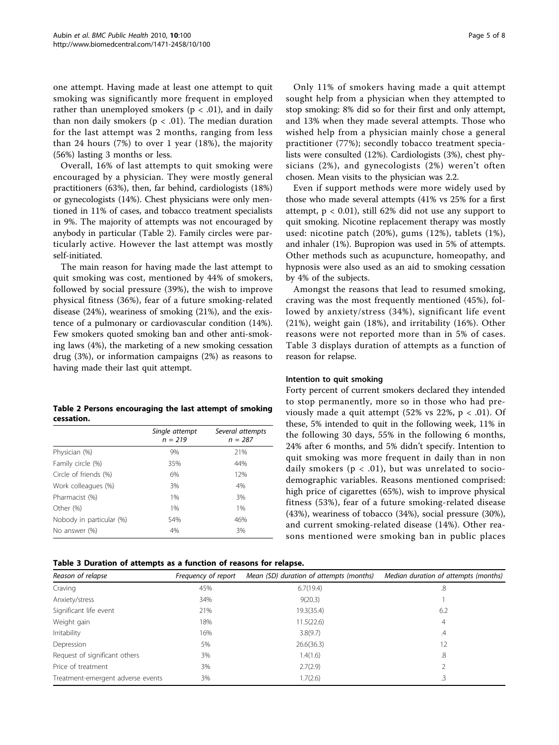one attempt. Having made at least one attempt to quit smoking was significantly more frequent in employed rather than unemployed smokers ( $p < .01$ ), and in daily than non daily smokers ( $p < .01$ ). The median duration for the last attempt was 2 months, ranging from less than 24 hours (7%) to over 1 year (18%), the majority (56%) lasting 3 months or less.

Overall, 16% of last attempts to quit smoking were encouraged by a physician. They were mostly general practitioners (63%), then, far behind, cardiologists (18%) or gynecologists (14%). Chest physicians were only mentioned in 11% of cases, and tobacco treatment specialists in 9%. The majority of attempts was not encouraged by anybody in particular (Table 2). Family circles were particularly active. However the last attempt was mostly self-initiated.

The main reason for having made the last attempt to quit smoking was cost, mentioned by 44% of smokers, followed by social pressure (39%), the wish to improve physical fitness (36%), fear of a future smoking-related disease (24%), weariness of smoking (21%), and the existence of a pulmonary or cardiovascular condition (14%). Few smokers quoted smoking ban and other anti-smoking laws (4%), the marketing of a new smoking cessation drug (3%), or information campaigns (2%) as reasons to having made their last quit attempt.

| Table 2 Persons encouraging the last attempt of smoking |  |  |
|---------------------------------------------------------|--|--|
| cessation.                                              |  |  |

|                          | Single attempt<br>$n = 219$ | Several attempts<br>$n = 287$ |
|--------------------------|-----------------------------|-------------------------------|
| Physician (%)            | 9%                          | 21%                           |
| Family circle (%)        | 35%                         | 44%                           |
| Circle of friends (%)    | 6%                          | 12%                           |
| Work colleagues (%)      | 3%                          | 4%                            |
| Pharmacist (%)           | 1%                          | 3%                            |
| Other (%)                | 1%                          | 1%                            |
| Nobody in particular (%) | 54%                         | 46%                           |
| No answer (%)            | 4%                          | 3%                            |

# Table 3 Duration of attempts as a function of reasons for relapse.

Only 11% of smokers having made a quit attempt sought help from a physician when they attempted to stop smoking: 8% did so for their first and only attempt, and 13% when they made several attempts. Those who wished help from a physician mainly chose a general practitioner (77%); secondly tobacco treatment specialists were consulted (12%). Cardiologists (3%), chest physicians (2%), and gynecologists (2%) weren't often chosen. Mean visits to the physician was 2.2.

Even if support methods were more widely used by those who made several attempts (41% vs 25% for a first attempt,  $p < 0.01$ ), still 62% did not use any support to quit smoking. Nicotine replacement therapy was mostly used: nicotine patch (20%), gums (12%), tablets (1%), and inhaler (1%). Bupropion was used in 5% of attempts. Other methods such as acupuncture, homeopathy, and hypnosis were also used as an aid to smoking cessation by 4% of the subjects.

Amongst the reasons that lead to resumed smoking, craving was the most frequently mentioned (45%), followed by anxiety/stress (34%), significant life event (21%), weight gain (18%), and irritability (16%). Other reasons were not reported more than in 5% of cases. Table 3 displays duration of attempts as a function of reason for relapse.

## Intention to quit smoking

Forty percent of current smokers declared they intended to stop permanently, more so in those who had previously made a quit attempt (52% vs 22%,  $p < .01$ ). Of these, 5% intended to quit in the following week, 11% in the following 30 days, 55% in the following 6 months, 24% after 6 months, and 5% didn't specify. Intention to quit smoking was more frequent in daily than in non daily smokers ( $p < .01$ ), but was unrelated to sociodemographic variables. Reasons mentioned comprised: high price of cigarettes (65%), wish to improve physical fitness (53%), fear of a future smoking-related disease (43%), weariness of tobacco (34%), social pressure (30%), and current smoking-related disease (14%). Other reasons mentioned were smoking ban in public places

| Reason of relapse                 | Frequency of report | Mean (SD) duration of attempts (months) | Median duration of attempts (months) |
|-----------------------------------|---------------------|-----------------------------------------|--------------------------------------|
| Craving                           | 45%                 | 6.7(19.4)                               | .8                                   |
| Anxiety/stress                    | 34%                 | 9(20.3)                                 |                                      |
| Significant life event            | 21%                 | 19.3(35.4)                              | 6.2                                  |
| Weight gain                       | 18%                 | 11.5(22.6)                              | 4                                    |
| Irritability                      | 16%                 | 3.8(9.7)                                | $\mathcal{A}$                        |
| Depression                        | 5%                  | 26.6(36.3)                              | 12                                   |
| Request of significant others     | 3%                  | 1.4(1.6)                                | .8                                   |
| Price of treatment                | 3%                  | 2.7(2.9)                                |                                      |
| Treatment-emergent adverse events | 3%                  | 1.7(2.6)                                |                                      |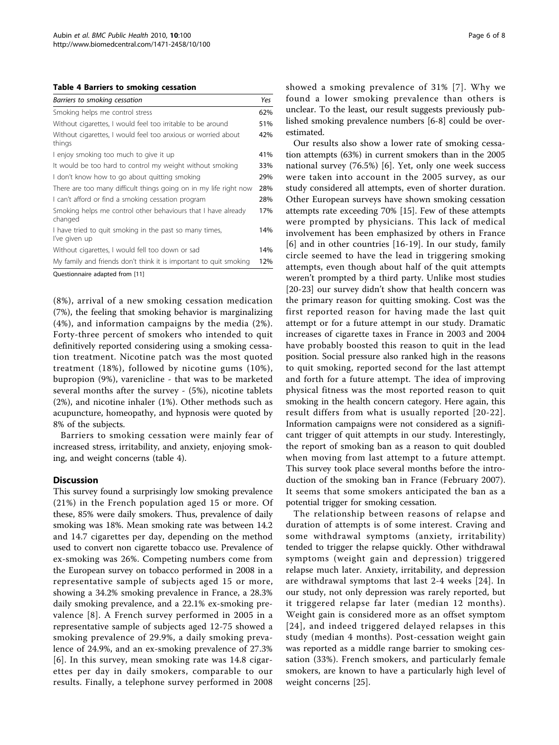#### Table 4 Barriers to smoking cessation

| Smoking helps me control stress<br>62%<br>Without cigarettes, I would feel too irritable to be around<br>51%<br>42%<br>Without cigarettes, I would feel too anxious or worried about |
|--------------------------------------------------------------------------------------------------------------------------------------------------------------------------------------|
|                                                                                                                                                                                      |
|                                                                                                                                                                                      |
| things                                                                                                                                                                               |
| I enjoy smoking too much to give it up<br>41%                                                                                                                                        |
| It would be too hard to control my weight without smoking<br>33%                                                                                                                     |
| 29%<br>I don't know how to go about quitting smoking                                                                                                                                 |
| There are too many difficult things going on in my life right now<br>28%                                                                                                             |
| I can't afford or find a smoking cessation program<br>28%                                                                                                                            |
| Smoking helps me control other behaviours that I have already<br>17%<br>changed                                                                                                      |
| I have tried to quit smoking in the past so many times,<br>14%<br>I've given up                                                                                                      |
| Without cigarettes, I would fell too down or sad<br>14%                                                                                                                              |
| My family and friends don't think it is important to quit smoking<br>12%                                                                                                             |

Questionnaire adapted from [[11\]](#page-6-0)

(8%), arrival of a new smoking cessation medication (7%), the feeling that smoking behavior is marginalizing (4%), and information campaigns by the media (2%). Forty-three percent of smokers who intended to quit definitively reported considering using a smoking cessation treatment. Nicotine patch was the most quoted treatment (18%), followed by nicotine gums (10%), bupropion (9%), varenicline - that was to be marketed several months after the survey - (5%), nicotine tablets (2%), and nicotine inhaler (1%). Other methods such as acupuncture, homeopathy, and hypnosis were quoted by 8% of the subjects.

Barriers to smoking cessation were mainly fear of increased stress, irritability, and anxiety, enjoying smoking, and weight concerns (table 4).

#### **Discussion**

This survey found a surprisingly low smoking prevalence (21%) in the French population aged 15 or more. Of these, 85% were daily smokers. Thus, prevalence of daily smoking was 18%. Mean smoking rate was between 14.2 and 14.7 cigarettes per day, depending on the method used to convert non cigarette tobacco use. Prevalence of ex-smoking was 26%. Competing numbers come from the European survey on tobacco performed in 2008 in a representative sample of subjects aged 15 or more, showing a 34.2% smoking prevalence in France, a 28.3% daily smoking prevalence, and a 22.1% ex-smoking prevalence [[8](#page-6-0)]. A French survey performed in 2005 in a representative sample of subjects aged 12-75 showed a smoking prevalence of 29.9%, a daily smoking prevalence of 24.9%, and an ex-smoking prevalence of 27.3% [[6](#page-6-0)]. In this survey, mean smoking rate was 14.8 cigarettes per day in daily smokers, comparable to our results. Finally, a telephone survey performed in 2008 showed a smoking prevalence of 31% [[7](#page-6-0)]. Why we found a lower smoking prevalence than others is unclear. To the least, our result suggests previously published smoking prevalence numbers [[6-8](#page-6-0)] could be overestimated.

Our results also show a lower rate of smoking cessation attempts (63%) in current smokers than in the 2005 national survey (76.5%) [[6\]](#page-6-0). Yet, only one week success were taken into account in the 2005 survey, as our study considered all attempts, even of shorter duration. Other European surveys have shown smoking cessation attempts rate exceeding 70% [\[15](#page-6-0)]. Few of these attempts were prompted by physicians. This lack of medical involvement has been emphasized by others in France [[6](#page-6-0)] and in other countries [[16-19](#page-6-0)]. In our study, family circle seemed to have the lead in triggering smoking attempts, even though about half of the quit attempts weren't prompted by a third party. Unlike most studies [[20-23\]](#page-7-0) our survey didn't show that health concern was the primary reason for quitting smoking. Cost was the first reported reason for having made the last quit attempt or for a future attempt in our study. Dramatic increases of cigarette taxes in France in 2003 and 2004 have probably boosted this reason to quit in the lead position. Social pressure also ranked high in the reasons to quit smoking, reported second for the last attempt and forth for a future attempt. The idea of improving physical fitness was the most reported reason to quit smoking in the health concern category. Here again, this result differs from what is usually reported [[20](#page-7-0)-[22\]](#page-7-0). Information campaigns were not considered as a significant trigger of quit attempts in our study. Interestingly, the report of smoking ban as a reason to quit doubled when moving from last attempt to a future attempt. This survey took place several months before the introduction of the smoking ban in France (February 2007). It seems that some smokers anticipated the ban as a potential trigger for smoking cessation.

The relationship between reasons of relapse and duration of attempts is of some interest. Craving and some withdrawal symptoms (anxiety, irritability) tended to trigger the relapse quickly. Other withdrawal symptoms (weight gain and depression) triggered relapse much later. Anxiety, irritability, and depression are withdrawal symptoms that last 2-4 weeks [[24](#page-7-0)]. In our study, not only depression was rarely reported, but it triggered relapse far later (median 12 months). Weight gain is considered more as an offset symptom [[24](#page-7-0)], and indeed triggered delayed relapses in this study (median 4 months). Post-cessation weight gain was reported as a middle range barrier to smoking cessation (33%). French smokers, and particularly female smokers, are known to have a particularly high level of weight concerns [\[25](#page-7-0)].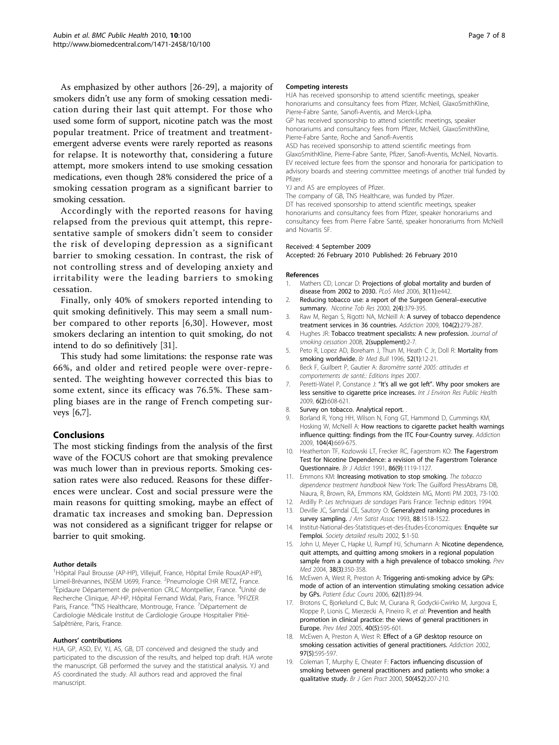<span id="page-6-0"></span>As emphasized by other authors [\[26](#page-7-0)-[29\]](#page-7-0), a majority of smokers didn't use any form of smoking cessation medication during their last quit attempt. For those who used some form of support, nicotine patch was the most popular treatment. Price of treatment and treatmentemergent adverse events were rarely reported as reasons for relapse. It is noteworthy that, considering a future attempt, more smokers intend to use smoking cessation medications, even though 28% considered the price of a smoking cessation program as a significant barrier to smoking cessation.

Accordingly with the reported reasons for having relapsed from the previous quit attempt, this representative sample of smokers didn't seem to consider the risk of developing depression as a significant barrier to smoking cessation. In contrast, the risk of not controlling stress and of developing anxiety and irritability were the leading barriers to smoking cessation.

Finally, only 40% of smokers reported intending to quit smoking definitively. This may seem a small number compared to other reports [6,[30\]](#page-7-0). However, most smokers declaring an intention to quit smoking, do not intend to do so definitively [[31\]](#page-7-0).

This study had some limitations: the response rate was 66%, and older and retired people were over-represented. The weighting however corrected this bias to some extent, since its efficacy was 76.5%. These sampling biases are in the range of French competing surveys [6,7].

# Conclusions

The most sticking findings from the analysis of the first wave of the FOCUS cohort are that smoking prevalence was much lower than in previous reports. Smoking cessation rates were also reduced. Reasons for these differences were unclear. Cost and social pressure were the main reasons for quitting smoking, maybe an effect of dramatic tax increases and smoking ban. Depression was not considered as a significant trigger for relapse or barrier to quit smoking.

#### Author details

<sup>1</sup>Hôpital Paul Brousse (AP-HP), Villejuif, France, Hôpital Emile Roux(AP-HP), Limeil-Brévannes, INSEM U699, France. <sup>2</sup>Pneumologie CHR METZ, France.<br><sup>3</sup>Enidaure Département de prévention CPLC Montpollier, France. <sup>4</sup>Llpité. Epidaure Département de prévention CRLC Montpellier, France. <sup>4</sup>Unité de Recherche Clinique, AP-HP, Hôpital Fernand Widal, Paris, France. <sup>5</sup>PFIZER Paris, France. <sup>6</sup>TNS Healthcare, Montrouge, France. <sup>7</sup>Département de Cardiologie Médicale Institut de Cardiologie Groupe Hospitalier Pitié-Salpêtrière, Paris, France.

#### Authors' contributions

HJA, GP, ASD, EV, YJ, AS, GB, DT conceived and designed the study and participated to the discussion of the results, and helped top draft. HJA wrote the manuscript. GB performed the survey and the statistical analysis. YJ and AS coordinated the study. All authors read and approved the final manuscript.

#### Competing interests

HJA has received sponsorship to attend scientific meetings, speaker honorariums and consultancy fees from Pfizer, McNeil, GlaxoSmithKline, Pierre-Fabre Sante, Sanofi-Aventis, and Merck-Lipha.

GP has received sponsorship to attend scientific meetings, speaker honorariums and consultancy fees from Pfizer, McNeil, GlaxoSmithKline, Pierre-Fabre Sante, Roche and Sanofi-Aventis

ASD has received sponsorship to attend scientific meetings from GlaxoSmithKline, Pierre-Fabre Sante, Pfizer, Sanofi-Aventis, McNeil, Novartis. EV received lecture fees from the sponsor and honoraria for participation to advisory boards and steering committee meetings of another trial funded by Pfizer.

YJ and AS are employees of Pfizer.

The company of GB, TNS Healthcare, was funded by Pfizer. DT has received sponsorship to attend scientific meetings, speaker honorariums and consultancy fees from Pfizer, speaker honorariums and consultancy fees from Pierre Fabre Santé, speaker honorariums from McNeill and Novartis SF.

#### Received: 4 September 2009

Accepted: 26 February 2010 Published: 26 February 2010

#### References

- 1. Mathers CD, Loncar D: [Projections of global mortality and burden of](http://www.ncbi.nlm.nih.gov/pubmed/17132052?dopt=Abstract) [disease from 2002 to 2030.](http://www.ncbi.nlm.nih.gov/pubmed/17132052?dopt=Abstract) PLoS Med 2006, 3(11):e442.
- 2. Reducing tobacco use: a report of the Surgeon General–executive summary. Nicotine Tob Res 2000, 2(4):379-395.
- 3. Raw M, Regan S, Rigotti NA, McNeill A: [A survey of tobacco dependence](http://www.ncbi.nlm.nih.gov/pubmed/19149825?dopt=Abstract) [treatment services in 36 countries.](http://www.ncbi.nlm.nih.gov/pubmed/19149825?dopt=Abstract) Addiction 2009, 104(2):279-287.
- 4. Hughes JR: Tobacco treatment specialists: A new profession. Journal of smoking cessation 2008, 2(supplement):2-7
- 5. Peto R, Lopez AD, Boreham J, Thun M, Heath C Jr, Doll R: [Mortality from](http://www.ncbi.nlm.nih.gov/pubmed/8746293?dopt=Abstract) [smoking worldwide.](http://www.ncbi.nlm.nih.gov/pubmed/8746293?dopt=Abstract) Br Med Bull 1996, 52(1):12-21.
- 6. Beck F, Guilbert P, Gautier A: Baromètre santé 2005: attitudes et comportements de santé.: Editions Inpes 2007.
- 7. Peretti-Watel P, Constance J: "It's all we got left"[. Why poor smokers are](http://www.ncbi.nlm.nih.gov/pubmed/19440404?dopt=Abstract) [less sensitive to cigarette price increases.](http://www.ncbi.nlm.nih.gov/pubmed/19440404?dopt=Abstract) Int J Environ Res Public Health 2009, 6(2):608-621.
- 8. Survey on tobacco. Analytical report.
- 9. Borland R, Yong HH, Wilson N, Fong GT, Hammond D, Cummings KM, Hosking W, McNeill A: [How reactions to cigarette packet health warnings](http://www.ncbi.nlm.nih.gov/pubmed/19215595?dopt=Abstract) [influence quitting: findings from the ITC Four-Country survey.](http://www.ncbi.nlm.nih.gov/pubmed/19215595?dopt=Abstract) Addiction 2009, 104(4):669-675.
- 10. Heatherton TF, Kozlowski LT, Frecker RC, Fagerstrom KO: [The Fagerstrom](http://www.ncbi.nlm.nih.gov/pubmed/1932883?dopt=Abstract) [Test for Nicotine Dependence: a revision of the Fagerstrom Tolerance](http://www.ncbi.nlm.nih.gov/pubmed/1932883?dopt=Abstract) [Questionnaire.](http://www.ncbi.nlm.nih.gov/pubmed/1932883?dopt=Abstract) Br J Addict 1991, 86(9):1119-1127.
- 11. Emmons KM: Increasing motivation to stop smoking. The tobacco dependence treatment handbook New York: The Guilford PressAbrams DB, Niaura, R, Brown, RA, Emmons KM, Goldstein MG, Monti PM 2003, 73-100.
- 12. Ardilly P: Les techniques de sondages Paris France: Technip editors 1994.
- 13. Deville JC, Sarndal CE, Sautory O: Generalyzed ranking procedures in survey sampling. J Am Satist Assoc 1993, 88:1518-1522.
- 14. Institut-National-des-Statistiques-et-des-Etudes-Economiques: Enquête sur l'emploi. Society detailed results 2002, 5:1-50.
- 15. John U, Meyer C, Hapke U, Rumpf HJ, Schumann A: [Nicotine dependence,](http://www.ncbi.nlm.nih.gov/pubmed/14766119?dopt=Abstract) [quit attempts, and quitting among smokers in a regional population](http://www.ncbi.nlm.nih.gov/pubmed/14766119?dopt=Abstract) [sample from a country with a high prevalence of tobacco smoking.](http://www.ncbi.nlm.nih.gov/pubmed/14766119?dopt=Abstract) Prev Med 2004, 38(3):350-358.
- 16. McEwen A, West R, Preston A: [Triggering anti-smoking advice by GPs:](http://www.ncbi.nlm.nih.gov/pubmed/16023821?dopt=Abstract) [mode of action of an intervention stimulating smoking cessation advice](http://www.ncbi.nlm.nih.gov/pubmed/16023821?dopt=Abstract) [by GPs.](http://www.ncbi.nlm.nih.gov/pubmed/16023821?dopt=Abstract) Patient Educ Couns 2006, 62(1):89-94.
- 17. Brotons C, Bjorkelund C, Bulc M, Ciurana R, Godycki-Cwirko M, Jurgova E, Kloppe P, Lionis C, Mierzecki A, Pineiro R, et al: [Prevention and health](http://www.ncbi.nlm.nih.gov/pubmed/15749144?dopt=Abstract) [promotion in clinical practice: the views of general practitioners in](http://www.ncbi.nlm.nih.gov/pubmed/15749144?dopt=Abstract) [Europe.](http://www.ncbi.nlm.nih.gov/pubmed/15749144?dopt=Abstract) Prev Med 2005, 40(5):595-601.
- 18. McEwen A, Preston A, West R: [Effect of a GP desktop resource on](http://www.ncbi.nlm.nih.gov/pubmed/12033660?dopt=Abstract) [smoking cessation activities of general practitioners.](http://www.ncbi.nlm.nih.gov/pubmed/12033660?dopt=Abstract) Addiction 2002, 97(5):595-597.
- 19. Coleman T, Murphy E, Cheater F: [Factors influencing discussion of](http://www.ncbi.nlm.nih.gov/pubmed/10750230?dopt=Abstract) [smoking between general practitioners and patients who smoke: a](http://www.ncbi.nlm.nih.gov/pubmed/10750230?dopt=Abstract) [qualitative study.](http://www.ncbi.nlm.nih.gov/pubmed/10750230?dopt=Abstract) Br J Gen Pract 2000, 50(452):207-210.